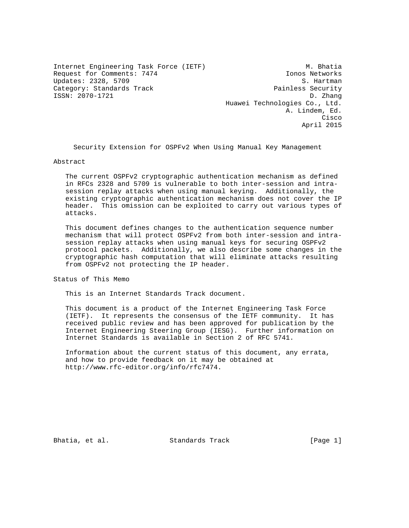Internet Engineering Task Force (IETF) M. Bhatia Request for Comments: 7474 Ionos Networks Updates: 2328, 5709 S. Hartman Category: Standards Track extended by Track Painless Security ISSN: 2070-1721 D. Zhang

 Huawei Technologies Co., Ltd. A. Lindem, Ed. **Cisco de la contrata de la contrata de la contrata de la contrata de la contrata de la contrata de la contrat** April 2015

Security Extension for OSPFv2 When Using Manual Key Management

Abstract

 The current OSPFv2 cryptographic authentication mechanism as defined in RFCs 2328 and 5709 is vulnerable to both inter-session and intra session replay attacks when using manual keying. Additionally, the existing cryptographic authentication mechanism does not cover the IP header. This omission can be exploited to carry out various types of attacks.

 This document defines changes to the authentication sequence number mechanism that will protect OSPFv2 from both inter-session and intra session replay attacks when using manual keys for securing OSPFv2 protocol packets. Additionally, we also describe some changes in the cryptographic hash computation that will eliminate attacks resulting from OSPFv2 not protecting the IP header.

Status of This Memo

This is an Internet Standards Track document.

 This document is a product of the Internet Engineering Task Force (IETF). It represents the consensus of the IETF community. It has received public review and has been approved for publication by the Internet Engineering Steering Group (IESG). Further information on Internet Standards is available in Section 2 of RFC 5741.

 Information about the current status of this document, any errata, and how to provide feedback on it may be obtained at http://www.rfc-editor.org/info/rfc7474.

Bhatia, et al. Standards Track [Page 1]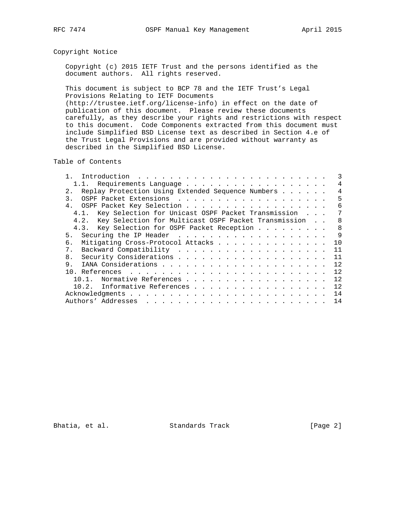# Copyright Notice

 Copyright (c) 2015 IETF Trust and the persons identified as the document authors. All rights reserved.

 This document is subject to BCP 78 and the IETF Trust's Legal Provisions Relating to IETF Documents

 (http://trustee.ietf.org/license-info) in effect on the date of publication of this document. Please review these documents carefully, as they describe your rights and restrictions with respect to this document. Code Components extracted from this document must include Simplified BSD License text as described in Section 4.e of the Trust Legal Provisions and are provided without warranty as described in the Simplified BSD License.

Table of Contents

| 1.1. Requirements Language                                |  | 4            |
|-----------------------------------------------------------|--|--------------|
| Replay Protection Using Extended Sequence Numbers<br>2.1  |  | 4            |
| 3.                                                        |  | 5            |
|                                                           |  | 6            |
| 4.1. Key Selection for Unicast OSPF Packet Transmission   |  | 7            |
| 4.2. Key Selection for Multicast OSPF Packet Transmission |  | 8            |
| 4.3. Key Selection for OSPF Packet Reception              |  | $\mathsf{R}$ |
| 5.                                                        |  | $\mathsf{Q}$ |
| Mitigating Cross-Protocol Attacks<br>б.                   |  | 10           |
| 7 <sub>1</sub>                                            |  | 11           |
| 8.                                                        |  | 11           |
| 9.                                                        |  | 12.          |
|                                                           |  | 12.          |
| Normative References                                      |  | 12           |
| Informative References<br>10.2.                           |  | 12           |
|                                                           |  | 14           |
|                                                           |  | 14           |

Bhatia, et al. Standards Track [Page 2]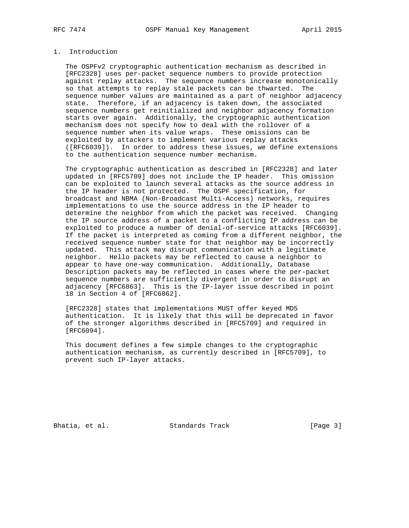# 1. Introduction

 The OSPFv2 cryptographic authentication mechanism as described in [RFC2328] uses per-packet sequence numbers to provide protection against replay attacks. The sequence numbers increase monotonically so that attempts to replay stale packets can be thwarted. The sequence number values are maintained as a part of neighbor adjacency state. Therefore, if an adjacency is taken down, the associated sequence numbers get reinitialized and neighbor adjacency formation starts over again. Additionally, the cryptographic authentication mechanism does not specify how to deal with the rollover of a sequence number when its value wraps. These omissions can be exploited by attackers to implement various replay attacks ([RFC6039]). In order to address these issues, we define extensions to the authentication sequence number mechanism.

 The cryptographic authentication as described in [RFC2328] and later updated in [RFC5709] does not include the IP header. This omission can be exploited to launch several attacks as the source address in the IP header is not protected. The OSPF specification, for broadcast and NBMA (Non-Broadcast Multi-Access) networks, requires implementations to use the source address in the IP header to determine the neighbor from which the packet was received. Changing the IP source address of a packet to a conflicting IP address can be exploited to produce a number of denial-of-service attacks [RFC6039]. If the packet is interpreted as coming from a different neighbor, the received sequence number state for that neighbor may be incorrectly updated. This attack may disrupt communication with a legitimate neighbor. Hello packets may be reflected to cause a neighbor to appear to have one-way communication. Additionally, Database Description packets may be reflected in cases where the per-packet sequence numbers are sufficiently divergent in order to disrupt an adjacency [RFC6863]. This is the IP-layer issue described in point 18 in Section 4 of [RFC6862].

 [RFC2328] states that implementations MUST offer keyed MD5 authentication. It is likely that this will be deprecated in favor of the stronger algorithms described in [RFC5709] and required in [RFC6094].

 This document defines a few simple changes to the cryptographic authentication mechanism, as currently described in [RFC5709], to prevent such IP-layer attacks.

Bhatia, et al. Standards Track [Page 3]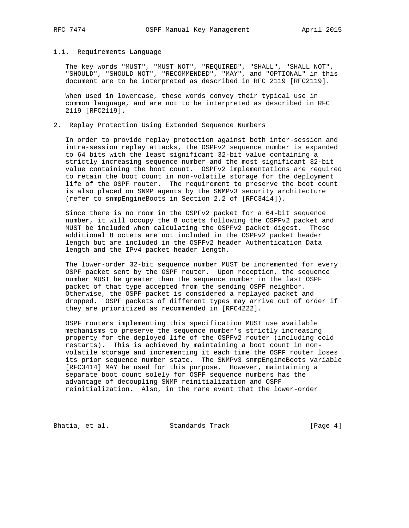### 1.1. Requirements Language

 The key words "MUST", "MUST NOT", "REQUIRED", "SHALL", "SHALL NOT", "SHOULD", "SHOULD NOT", "RECOMMENDED", "MAY", and "OPTIONAL" in this document are to be interpreted as described in RFC 2119 [RFC2119].

 When used in lowercase, these words convey their typical use in common language, and are not to be interpreted as described in RFC 2119 [RFC2119].

# 2. Replay Protection Using Extended Sequence Numbers

 In order to provide replay protection against both inter-session and intra-session replay attacks, the OSPFv2 sequence number is expanded to 64 bits with the least significant 32-bit value containing a strictly increasing sequence number and the most significant 32-bit value containing the boot count. OSPFv2 implementations are required to retain the boot count in non-volatile storage for the deployment life of the OSPF router. The requirement to preserve the boot count is also placed on SNMP agents by the SNMPv3 security architecture (refer to snmpEngineBoots in Section 2.2 of [RFC3414]).

 Since there is no room in the OSPFv2 packet for a 64-bit sequence number, it will occupy the 8 octets following the OSPFv2 packet and MUST be included when calculating the OSPFv2 packet digest. These additional 8 octets are not included in the OSPFv2 packet header length but are included in the OSPFv2 header Authentication Data length and the IPv4 packet header length.

 The lower-order 32-bit sequence number MUST be incremented for every OSPF packet sent by the OSPF router. Upon reception, the sequence number MUST be greater than the sequence number in the last OSPF packet of that type accepted from the sending OSPF neighbor. Otherwise, the OSPF packet is considered a replayed packet and dropped. OSPF packets of different types may arrive out of order if they are prioritized as recommended in [RFC4222].

 OSPF routers implementing this specification MUST use available mechanisms to preserve the sequence number's strictly increasing property for the deployed life of the OSPFv2 router (including cold restarts). This is achieved by maintaining a boot count in non volatile storage and incrementing it each time the OSPF router loses its prior sequence number state. The SNMPv3 snmpEngineBoots variable [RFC3414] MAY be used for this purpose. However, maintaining a separate boot count solely for OSPF sequence numbers has the advantage of decoupling SNMP reinitialization and OSPF reinitialization. Also, in the rare event that the lower-order

Bhatia, et al. Standards Track [Page 4]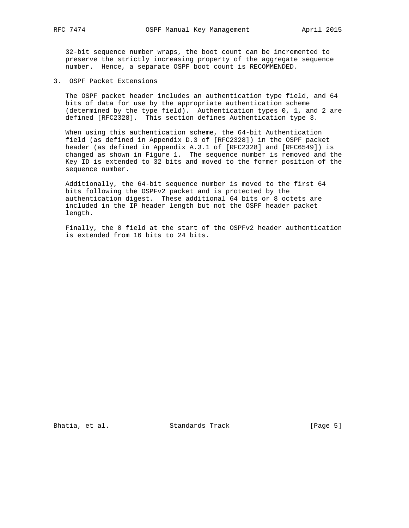32-bit sequence number wraps, the boot count can be incremented to preserve the strictly increasing property of the aggregate sequence number. Hence, a separate OSPF boot count is RECOMMENDED.

3. OSPF Packet Extensions

 The OSPF packet header includes an authentication type field, and 64 bits of data for use by the appropriate authentication scheme (determined by the type field). Authentication types 0, 1, and 2 are defined [RFC2328]. This section defines Authentication type 3.

 When using this authentication scheme, the 64-bit Authentication field (as defined in Appendix D.3 of [RFC2328]) in the OSPF packet header (as defined in Appendix A.3.1 of [RFC2328] and [RFC6549]) is changed as shown in Figure 1. The sequence number is removed and the Key ID is extended to 32 bits and moved to the former position of the sequence number.

 Additionally, the 64-bit sequence number is moved to the first 64 bits following the OSPFv2 packet and is protected by the authentication digest. These additional 64 bits or 8 octets are included in the IP header length but not the OSPF header packet length.

 Finally, the 0 field at the start of the OSPFv2 header authentication is extended from 16 bits to 24 bits.

Bhatia, et al. Standards Track [Page 5]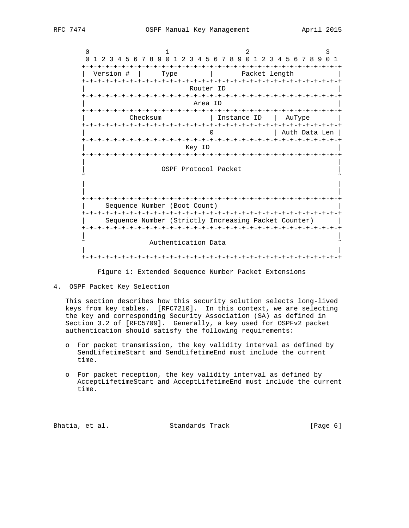$0$  1 2 3 0 1 2 3 4 5 6 7 8 9 0 1 2 3 4 5 6 7 8 9 0 1 2 3 4 5 6 7 8 9 0 1 +-+-+-+-+-+-+-+-+-+-+-+-+-+-+-+-+-+-+-+-+-+-+-+-+-+-+-+-+-+-+-+-+ | Version # | Type | Packet length | +-+-+-+-+-+-+-+-+-+-+-+-+-+-+-+-+-+-+-+-+-+-+-+-+-+-+-+-+-+-+-+-+ Router ID +-+-+-+-+-+-+-+-+-+-+-+-+-+-+-+-+-+-+-+-+-+-+-+-+-+-+-+-+-+-+-+-+ | Area ID | +-+-+-+-+-+-+-+-+-+-+-+-+-+-+-+-+-+-+-+-+-+-+-+-+-+-+-+-+-+-+-+-+ Checksum | Instance ID | AuType | +-+-+-+-+-+-+-+-+-+-+-+-+-+-+-+-+-+-+-+-+-+-+-+-+-+-+-+-+-+-+-+-+ 0 | Auth Data Len | +-+-+-+-+-+-+-+-+-+-+-+-+-+-+-+-+-+-+-+-+-+-+-+-+-+-+-+-+-+-+-+-+ | Key ID | +-+-+-+-+-+-+-+-+-+-+-+-+-+-+-+-+-+-+-+-+-+-+-+-+-+-+-+-+-+-+-+-+ | | OSPF Protocol Packet ˜ ˜ | | | | +-+-+-+-+-+-+-+-+-+-+-+-+-+-+-+-+-+-+-+-+-+-+-+-+-+-+-+-+-+-+-+-+ | Sequence Number (Boot Count) | +-+-+-+-+-+-+-+-+-+-+-+-+-+-+-+-+-+-+-+-+-+-+-+-+-+-+-+-+-+-+-+-+ | Sequence Number (Strictly Increasing Packet Counter) | +-+-+-+-+-+-+-+-+-+-+-+-+-+-+-+-+-+-+-+-+-+-+-+-+-+-+-+-+-+-+-+-+ | | Authentication Data | | +-+-+-+-+-+-+-+-+-+-+-+-+-+-+-+-+-+-+-+-+-+-+-+-+-+-+-+-+-+-+-+-+

Figure 1: Extended Sequence Number Packet Extensions

4. OSPF Packet Key Selection

 This section describes how this security solution selects long-lived keys from key tables. [RFC7210]. In this context, we are selecting the key and corresponding Security Association (SA) as defined in Section 3.2 of [RFC5709]. Generally, a key used for OSPFv2 packet authentication should satisfy the following requirements:

- o For packet transmission, the key validity interval as defined by SendLifetimeStart and SendLifetimeEnd must include the current time.
- o For packet reception, the key validity interval as defined by AcceptLifetimeStart and AcceptLifetimeEnd must include the current time.

Bhatia, et al. Standards Track [Page 6]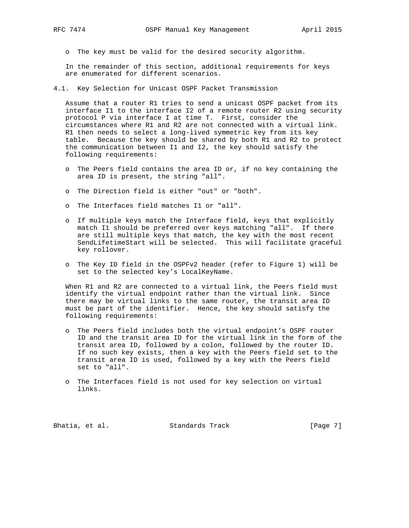o The key must be valid for the desired security algorithm.

 In the remainder of this section, additional requirements for keys are enumerated for different scenarios.

4.1. Key Selection for Unicast OSPF Packet Transmission

 Assume that a router R1 tries to send a unicast OSPF packet from its interface I1 to the interface I2 of a remote router R2 using security protocol P via interface I at time T. First, consider the circumstances where R1 and R2 are not connected with a virtual link. R1 then needs to select a long-lived symmetric key from its key table. Because the key should be shared by both R1 and R2 to protect the communication between I1 and I2, the key should satisfy the following requirements:

- o The Peers field contains the area ID or, if no key containing the area ID is present, the string "all".
- o The Direction field is either "out" or "both".
- o The Interfaces field matches I1 or "all".
- o If multiple keys match the Interface field, keys that explicitly match I1 should be preferred over keys matching "all". If there are still multiple keys that match, the key with the most recent SendLifetimeStart will be selected. This will facilitate graceful key rollover.
- o The Key ID field in the OSPFv2 header (refer to Figure 1) will be set to the selected key's LocalKeyName.

 When R1 and R2 are connected to a virtual link, the Peers field must identify the virtual endpoint rather than the virtual link. Since there may be virtual links to the same router, the transit area ID must be part of the identifier. Hence, the key should satisfy the following requirements:

- o The Peers field includes both the virtual endpoint's OSPF router ID and the transit area ID for the virtual link in the form of the transit area ID, followed by a colon, followed by the router ID. If no such key exists, then a key with the Peers field set to the transit area ID is used, followed by a key with the Peers field set to "all".
- o The Interfaces field is not used for key selection on virtual links.

Bhatia, et al. Standards Track [Page 7]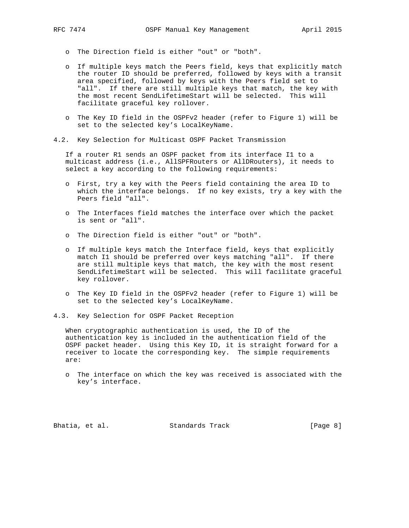- o The Direction field is either "out" or "both".
- o If multiple keys match the Peers field, keys that explicitly match the router ID should be preferred, followed by keys with a transit area specified, followed by keys with the Peers field set to "all". If there are still multiple keys that match, the key with the most recent SendLifetimeStart will be selected. This will facilitate graceful key rollover.
- o The Key ID field in the OSPFv2 header (refer to Figure 1) will be set to the selected key's LocalKeyName.
- 4.2. Key Selection for Multicast OSPF Packet Transmission

 If a router R1 sends an OSPF packet from its interface I1 to a multicast address (i.e., AllSPFRouters or AllDRouters), it needs to select a key according to the following requirements:

- o First, try a key with the Peers field containing the area ID to which the interface belongs. If no key exists, try a key with the Peers field "all".
- o The Interfaces field matches the interface over which the packet is sent or "all".
- o The Direction field is either "out" or "both".
- o If multiple keys match the Interface field, keys that explicitly match I1 should be preferred over keys matching "all". If there are still multiple keys that match, the key with the most resent SendLifetimeStart will be selected. This will facilitate graceful key rollover.
- o The Key ID field in the OSPFv2 header (refer to Figure 1) will be set to the selected key's LocalKeyName.
- 4.3. Key Selection for OSPF Packet Reception

 When cryptographic authentication is used, the ID of the authentication key is included in the authentication field of the OSPF packet header. Using this Key ID, it is straight forward for a receiver to locate the corresponding key. The simple requirements are:

 o The interface on which the key was received is associated with the key's interface.

Bhatia, et al. Standards Track [Page 8]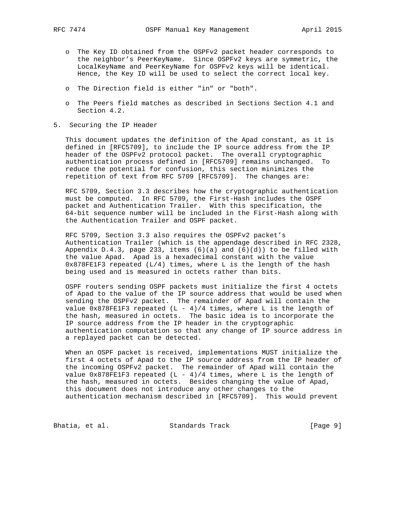- o The Key ID obtained from the OSPFv2 packet header corresponds to the neighbor's PeerKeyName. Since OSPFv2 keys are symmetric, the LocalKeyName and PeerKeyName for OSPFv2 keys will be identical. Hence, the Key ID will be used to select the correct local key.
- o The Direction field is either "in" or "both".
- o The Peers field matches as described in Sections Section 4.1 and Section 4.2.
- 5. Securing the IP Header

 This document updates the definition of the Apad constant, as it is defined in [RFC5709], to include the IP source address from the IP header of the OSPFv2 protocol packet. The overall cryptographic authentication process defined in [RFC5709] remains unchanged. To reduce the potential for confusion, this section minimizes the repetition of text from RFC 5709 [RFC5709]. The changes are:

 RFC 5709, Section 3.3 describes how the cryptographic authentication must be computed. In RFC 5709, the First-Hash includes the OSPF packet and Authentication Trailer. With this specification, the 64-bit sequence number will be included in the First-Hash along with the Authentication Trailer and OSPF packet.

 RFC 5709, Section 3.3 also requires the OSPFv2 packet's Authentication Trailer (which is the appendage described in RFC 2328, Appendix D.4.3, page 233, items  $(6)(a)$  and  $(6)(d)$ ) to be filled with the value Apad. Apad is a hexadecimal constant with the value 0x878FE1F3 repeated (L/4) times, where L is the length of the hash being used and is measured in octets rather than bits.

 OSPF routers sending OSPF packets must initialize the first 4 octets of Apad to the value of the IP source address that would be used when sending the OSPFv2 packet. The remainder of Apad will contain the value  $0x878FE1F3$  repeated (L - 4)/4 times, where L is the length of the hash, measured in octets. The basic idea is to incorporate the IP source address from the IP header in the cryptographic authentication computation so that any change of IP source address in a replayed packet can be detected.

 When an OSPF packet is received, implementations MUST initialize the first 4 octets of Apad to the IP source address from the IP header of the incoming OSPFv2 packet. The remainder of Apad will contain the value  $0x878FE1F3$  repeated (L - 4)/4 times, where L is the length of the hash, measured in octets. Besides changing the value of Apad, this document does not introduce any other changes to the authentication mechanism described in [RFC5709]. This would prevent

Bhatia, et al. Standards Track [Page 9]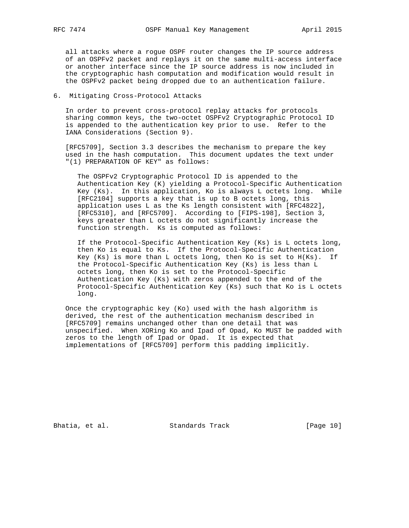all attacks where a rogue OSPF router changes the IP source address of an OSPFv2 packet and replays it on the same multi-access interface or another interface since the IP source address is now included in the cryptographic hash computation and modification would result in the OSPFv2 packet being dropped due to an authentication failure.

## 6. Mitigating Cross-Protocol Attacks

 In order to prevent cross-protocol replay attacks for protocols sharing common keys, the two-octet OSPFv2 Cryptographic Protocol ID is appended to the authentication key prior to use. Refer to the IANA Considerations (Section 9).

 [RFC5709], Section 3.3 describes the mechanism to prepare the key used in the hash computation. This document updates the text under "(1) PREPARATION OF KEY" as follows:

 The OSPFv2 Cryptographic Protocol ID is appended to the Authentication Key (K) yielding a Protocol-Specific Authentication Key (Ks). In this application, Ko is always L octets long. While [RFC2104] supports a key that is up to B octets long, this application uses L as the Ks length consistent with [RFC4822], [RFC5310], and [RFC5709]. According to [FIPS-198], Section 3, keys greater than L octets do not significantly increase the function strength. Ks is computed as follows:

 If the Protocol-Specific Authentication Key (Ks) is L octets long, then Ko is equal to Ks. If the Protocol-Specific Authentication Key (Ks) is more than L octets long, then Ko is set to H(Ks). If the Protocol-Specific Authentication Key (Ks) is less than L octets long, then Ko is set to the Protocol-Specific Authentication Key (Ks) with zeros appended to the end of the Protocol-Specific Authentication Key (Ks) such that Ko is L octets long.

 Once the cryptographic key (Ko) used with the hash algorithm is derived, the rest of the authentication mechanism described in [RFC5709] remains unchanged other than one detail that was unspecified. When XORing Ko and Ipad of Opad, Ko MUST be padded with zeros to the length of Ipad or Opad. It is expected that implementations of [RFC5709] perform this padding implicitly.

Bhatia, et al. Standards Track [Page 10]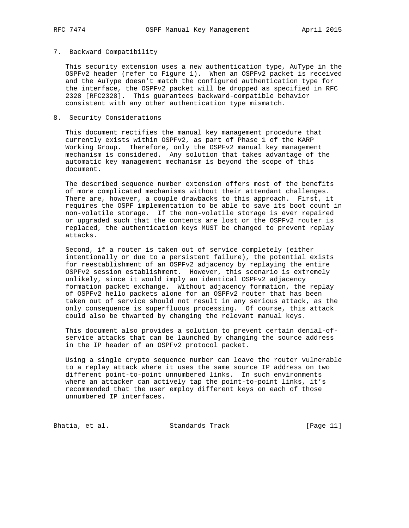### 7. Backward Compatibility

 This security extension uses a new authentication type, AuType in the OSPFv2 header (refer to Figure 1). When an OSPFv2 packet is received and the AuType doesn't match the configured authentication type for the interface, the OSPFv2 packet will be dropped as specified in RFC 2328 [RFC2328]. This guarantees backward-compatible behavior consistent with any other authentication type mismatch.

## 8. Security Considerations

 This document rectifies the manual key management procedure that currently exists within OSPFv2, as part of Phase 1 of the KARP Working Group. Therefore, only the OSPFv2 manual key management mechanism is considered. Any solution that takes advantage of the automatic key management mechanism is beyond the scope of this document.

 The described sequence number extension offers most of the benefits of more complicated mechanisms without their attendant challenges. There are, however, a couple drawbacks to this approach. First, it requires the OSPF implementation to be able to save its boot count in non-volatile storage. If the non-volatile storage is ever repaired or upgraded such that the contents are lost or the OSPFv2 router is replaced, the authentication keys MUST be changed to prevent replay attacks.

 Second, if a router is taken out of service completely (either intentionally or due to a persistent failure), the potential exists for reestablishment of an OSPFv2 adjacency by replaying the entire OSPFv2 session establishment. However, this scenario is extremely unlikely, since it would imply an identical OSPFv2 adjacency formation packet exchange. Without adjacency formation, the replay of OSPFv2 hello packets alone for an OSPFv2 router that has been taken out of service should not result in any serious attack, as the only consequence is superfluous processing. Of course, this attack could also be thwarted by changing the relevant manual keys.

 This document also provides a solution to prevent certain denial-of service attacks that can be launched by changing the source address in the IP header of an OSPFv2 protocol packet.

 Using a single crypto sequence number can leave the router vulnerable to a replay attack where it uses the same source IP address on two different point-to-point unnumbered links. In such environments where an attacker can actively tap the point-to-point links, it's recommended that the user employ different keys on each of those unnumbered IP interfaces.

Bhatia, et al. Standards Track [Page 11]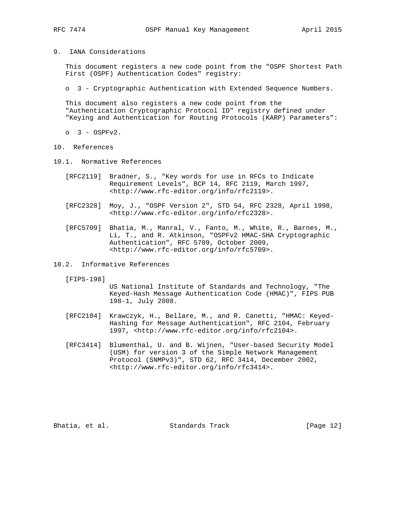9. IANA Considerations

 This document registers a new code point from the "OSPF Shortest Path First (OSPF) Authentication Codes" registry:

o 3 - Cryptographic Authentication with Extended Sequence Numbers.

 This document also registers a new code point from the "Authentication Cryptographic Protocol ID" registry defined under "Keying and Authentication for Routing Protocols (KARP) Parameters":

- $0 \quad 3 -$  OSPFv2.
- 10. References
- 10.1. Normative References
	- [RFC2119] Bradner, S., "Key words for use in RFCs to Indicate Requirement Levels", BCP 14, RFC 2119, March 1997, <http://www.rfc-editor.org/info/rfc2119>.
	- [RFC2328] Moy, J., "OSPF Version 2", STD 54, RFC 2328, April 1998, <http://www.rfc-editor.org/info/rfc2328>.
	- [RFC5709] Bhatia, M., Manral, V., Fanto, M., White, R., Barnes, M., Li, T., and R. Atkinson, "OSPFv2 HMAC-SHA Cryptographic Authentication", RFC 5709, October 2009, <http://www.rfc-editor.org/info/rfc5709>.
- 10.2. Informative References

[FIPS-198]

 US National Institute of Standards and Technology, "The Keyed-Hash Message Authentication Code (HMAC)", FIPS PUB 198-1, July 2008.

- [RFC2104] Krawczyk, H., Bellare, M., and R. Canetti, "HMAC: Keyed- Hashing for Message Authentication", RFC 2104, February 1997, <http://www.rfc-editor.org/info/rfc2104>.
- [RFC3414] Blumenthal, U. and B. Wijnen, "User-based Security Model (USM) for version 3 of the Simple Network Management Protocol (SNMPv3)", STD 62, RFC 3414, December 2002, <http://www.rfc-editor.org/info/rfc3414>.

Bhatia, et al. Standards Track [Page 12]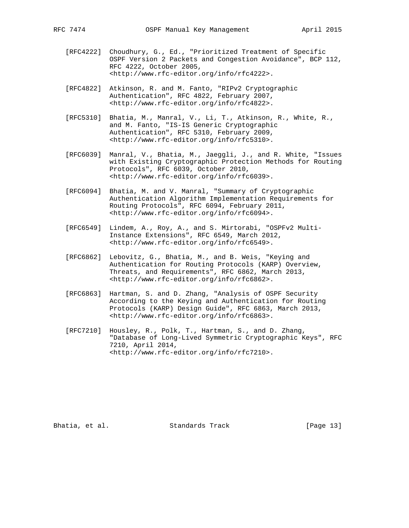- [RFC4222] Choudhury, G., Ed., "Prioritized Treatment of Specific OSPF Version 2 Packets and Congestion Avoidance", BCP 112, RFC 4222, October 2005, <http://www.rfc-editor.org/info/rfc4222>.
- [RFC4822] Atkinson, R. and M. Fanto, "RIPv2 Cryptographic Authentication", RFC 4822, February 2007, <http://www.rfc-editor.org/info/rfc4822>.
- [RFC5310] Bhatia, M., Manral, V., Li, T., Atkinson, R., White, R., and M. Fanto, "IS-IS Generic Cryptographic Authentication", RFC 5310, February 2009, <http://www.rfc-editor.org/info/rfc5310>.
- [RFC6039] Manral, V., Bhatia, M., Jaeggli, J., and R. White, "Issues with Existing Cryptographic Protection Methods for Routing Protocols", RFC 6039, October 2010, <http://www.rfc-editor.org/info/rfc6039>.
- [RFC6094] Bhatia, M. and V. Manral, "Summary of Cryptographic Authentication Algorithm Implementation Requirements for Routing Protocols", RFC 6094, February 2011, <http://www.rfc-editor.org/info/rfc6094>.
- [RFC6549] Lindem, A., Roy, A., and S. Mirtorabi, "OSPFv2 Multi- Instance Extensions", RFC 6549, March 2012, <http://www.rfc-editor.org/info/rfc6549>.
- [RFC6862] Lebovitz, G., Bhatia, M., and B. Weis, "Keying and Authentication for Routing Protocols (KARP) Overview, Threats, and Requirements", RFC 6862, March 2013, <http://www.rfc-editor.org/info/rfc6862>.
- [RFC6863] Hartman, S. and D. Zhang, "Analysis of OSPF Security According to the Keying and Authentication for Routing Protocols (KARP) Design Guide", RFC 6863, March 2013, <http://www.rfc-editor.org/info/rfc6863>.
- [RFC7210] Housley, R., Polk, T., Hartman, S., and D. Zhang, "Database of Long-Lived Symmetric Cryptographic Keys", RFC 7210, April 2014, <http://www.rfc-editor.org/info/rfc7210>.

Bhatia, et al. Standards Track [Page 13]